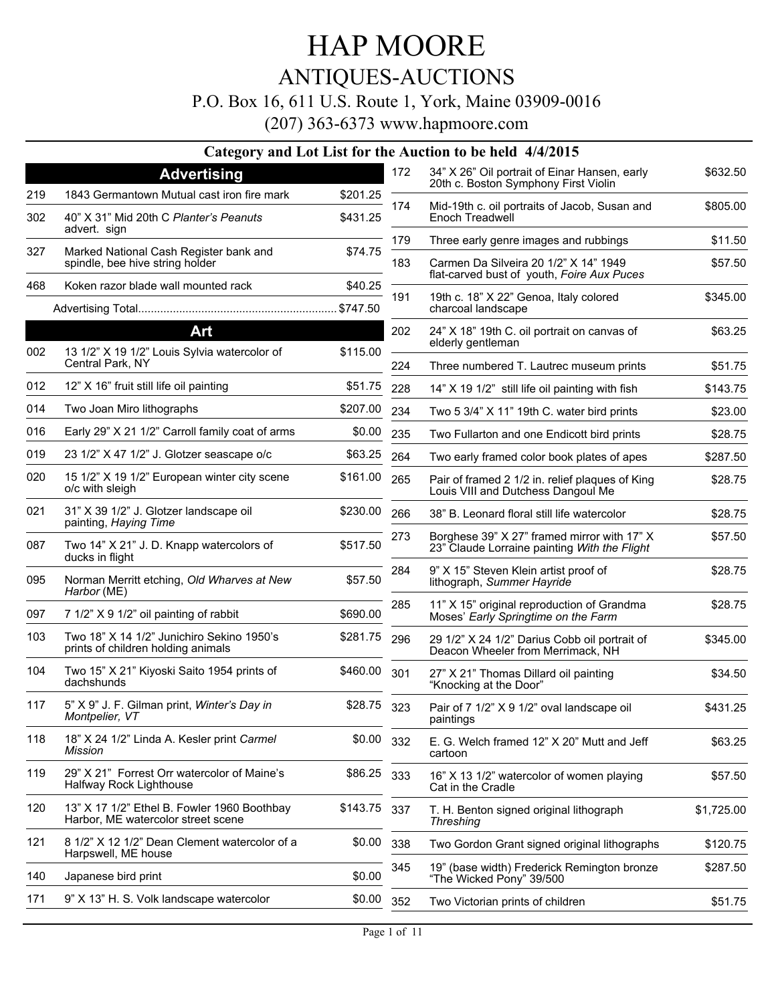### HAP MOORE ANTIQUES-AUCTIONS

#### P.O. Box 16, 611 U.S. Route 1, York, Maine 03909-0016

(207) 363-6373 www.hapmoore.com

|     |                                                                                   |              |     | Category and Lot List for the Auction to be held 4/4/2015                                   |            |
|-----|-----------------------------------------------------------------------------------|--------------|-----|---------------------------------------------------------------------------------------------|------------|
|     | <b>Advertising</b>                                                                |              | 172 | 34" X 26" Oil portrait of Einar Hansen, early                                               | \$632.50   |
| 219 | 1843 Germantown Mutual cast iron fire mark                                        | \$201.25     |     | 20th c. Boston Symphony First Violin                                                        |            |
| 302 | 40" X 31" Mid 20th C Planter's Peanuts<br>advert. sign                            | \$431.25     | 174 | Mid-19th c. oil portraits of Jacob, Susan and<br>Enoch Treadwell                            | \$805.00   |
| 327 | Marked National Cash Register bank and                                            | \$74.75      | 179 | Three early genre images and rubbings                                                       | \$11.50    |
|     | spindle, bee hive string holder                                                   |              | 183 | Carmen Da Silveira 20 1/2" X 14" 1949<br>flat-carved bust of youth, Foire Aux Puces         | \$57.50    |
| 468 | Koken razor blade wall mounted rack                                               | \$40.25      | 191 | 19th c. 18" X 22" Genoa, Italy colored                                                      | \$345.00   |
|     |                                                                                   | \$747.50     |     | charcoal landscape                                                                          |            |
| 002 | <b>Art</b><br>13 1/2" X 19 1/2" Louis Sylvia watercolor of                        | \$115.00     | 202 | 24" X 18" 19th C. oil portrait on canvas of<br>elderly gentleman                            | \$63.25    |
|     | Central Park, NY                                                                  |              | 224 | Three numbered T. Lautrec museum prints                                                     | \$51.75    |
| 012 | 12" X 16" fruit still life oil painting                                           | \$51.75      | 228 | 14" X 19 1/2" still life oil painting with fish                                             | \$143.75   |
| 014 | Two Joan Miro lithographs                                                         | \$207.00     | 234 | Two 5 3/4" X 11" 19th C. water bird prints                                                  | \$23.00    |
| 016 | Early 29" X 21 1/2" Carroll family coat of arms                                   | \$0.00       | 235 | Two Fullarton and one Endicott bird prints                                                  | \$28.75    |
| 019 | 23 1/2" X 47 1/2" J. Glotzer seascape o/c                                         | \$63.25      | 264 | Two early framed color book plates of apes                                                  | \$287.50   |
| 020 | 15 1/2" X 19 1/2" European winter city scene<br>o/c with sleigh                   | \$161.00     | 265 | Pair of framed 2 1/2 in. relief plaques of King<br>Louis VIII and Dutchess Dangoul Me       | \$28.75    |
| 021 | 31" X 39 1/2" J. Glotzer landscape oil<br>painting, Haying Time                   | \$230.00     | 266 | 38" B. Leonard floral still life watercolor                                                 | \$28.75    |
| 087 | Two 14" X 21" J. D. Knapp watercolors of<br>ducks in flight                       | \$517.50     | 273 | Borghese 39" X 27" framed mirror with 17" X<br>23" Claude Lorraine painting With the Flight | \$57.50    |
| 095 | Norman Merritt etching, Old Wharves at New<br>Harbor (ME)                         | \$57.50      | 284 | 9" X 15" Steven Klein artist proof of<br>lithograph, Summer Hayride                         | \$28.75    |
| 097 | 7 1/2" X 9 1/2" oil painting of rabbit                                            | \$690.00     | 285 | 11" X 15" original reproduction of Grandma<br>Moses' Early Springtime on the Farm           | \$28.75    |
| 103 | Two 18" X 14 1/2" Junichiro Sekino 1950's<br>prints of children holding animals   | \$281.75     | 296 | 29 1/2" X 24 1/2" Darius Cobb oil portrait of<br>Deacon Wheeler from Merrimack, NH          | \$345.00   |
| 104 | Two 15" X 21" Kiyoski Saito 1954 prints of<br>dachshunds                          | \$460.00     | 301 | 27" X 21" Thomas Dillard oil painting<br>"Knocking at the Door"                             | \$34.50    |
| 117 | 5" X 9" J. F. Gilman print, Winter's Day in<br>Montpelier, VT                     | \$28.75 323  |     | Pair of 7 1/2" X 9 1/2" oval landscape oil<br>paintings                                     | \$431.25   |
| 118 | 18" X 24 1/2" Linda A. Kesler print Carmel<br>Mission                             | \$0.00       | 332 | E. G. Welch framed 12" X 20" Mutt and Jeff<br>cartoon                                       | \$63.25    |
| 119 | 29" X 21" Forrest Orr watercolor of Maine's<br>Halfway Rock Lighthouse            | \$86.25 333  |     | 16" X 13 1/2" watercolor of women playing<br>Cat in the Cradle                              | \$57.50    |
| 120 | 13" X 17 1/2" Ethel B. Fowler 1960 Boothbay<br>Harbor, ME watercolor street scene | \$143.75 337 |     | T. H. Benton signed original lithograph<br><b>Threshing</b>                                 | \$1,725.00 |
| 121 | 8 1/2" X 12 1/2" Dean Clement watercolor of a<br>Harpswell, ME house              | \$0.00       | 338 | Two Gordon Grant signed original lithographs                                                | \$120.75   |
| 140 | Japanese bird print                                                               | \$0.00       | 345 | 19" (base width) Frederick Remington bronze<br>"The Wicked Pony" 39/500                     | \$287.50   |
| 171 | 9" X 13" H. S. Volk landscape watercolor                                          | \$0.00       | 352 | Two Victorian prints of children                                                            | \$51.75    |
|     |                                                                                   |              |     |                                                                                             |            |

 $\overline{a}$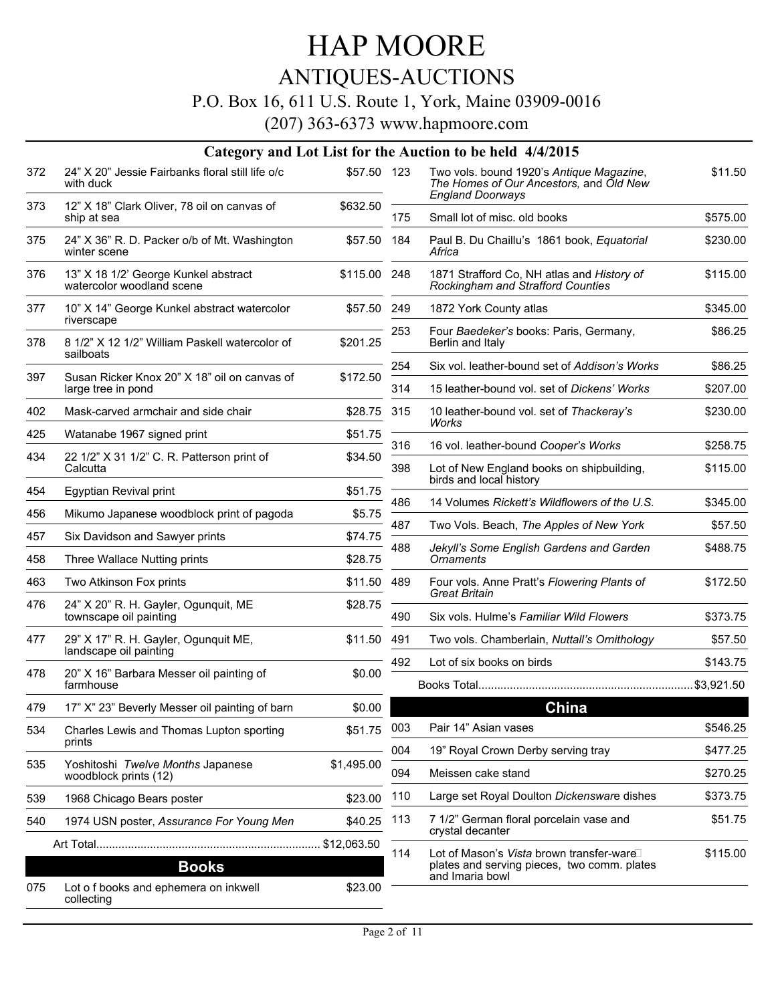### ANTIQUES-AUCTIONS

#### P.O. Box 16, 611 U.S. Route 1, York, Maine 03909-0016

|     |                                                                   |              |     | Category and Lot List for the Auction to be held 4/4/2015                                                      |          |
|-----|-------------------------------------------------------------------|--------------|-----|----------------------------------------------------------------------------------------------------------------|----------|
| 372 | 24" X 20" Jessie Fairbanks floral still life o/c<br>with duck     | \$57.50 123  |     | Two vols. bound 1920's Antique Magazine,<br>The Homes of Our Ancestors, and Old New<br><b>England Doorways</b> | \$11.50  |
| 373 | 12" X 18" Clark Oliver, 78 oil on canvas of<br>ship at sea        | \$632.50     | 175 | Small lot of misc. old books                                                                                   | \$575.00 |
| 375 | 24" X 36" R. D. Packer o/b of Mt. Washington<br>winter scene      | \$57.50 184  |     | Paul B. Du Chaillu's 1861 book, Equatorial<br>Africa                                                           | \$230.00 |
| 376 | 13" X 18 1/2' George Kunkel abstract<br>watercolor woodland scene | \$115.00 248 |     | 1871 Strafford Co, NH atlas and History of<br>Rockingham and Strafford Counties                                | \$115.00 |
| 377 | 10" X 14" George Kunkel abstract watercolor<br>riverscape         | \$57.50 249  |     | 1872 York County atlas                                                                                         | \$345.00 |
| 378 | 8 1/2" X 12 1/2" William Paskell watercolor of<br>sailboats       | \$201.25     | 253 | Four Baedeker's books: Paris, Germany,<br>Berlin and Italy                                                     | \$86.25  |
| 397 | Susan Ricker Knox 20" X 18" oil on canvas of                      | \$172.50     | 254 | Six vol. leather-bound set of Addison's Works                                                                  | \$86.25  |
|     | large tree in pond                                                |              | 314 | 15 leather-bound vol. set of Dickens' Works                                                                    | \$207.00 |
| 402 | Mask-carved armchair and side chair                               | \$28.75 315  |     | 10 leather-bound vol. set of Thackeray's<br>Works                                                              | \$230.00 |
| 425 | Watanabe 1967 signed print                                        | \$51.75      | 316 | 16 vol. leather-bound Cooper's Works                                                                           | \$258.75 |
| 434 | 22 1/2" X 31 1/2" C. R. Patterson print of<br>Calcutta            | \$34.50      | 398 | Lot of New England books on shipbuilding,<br>birds and local history                                           | \$115.00 |
| 454 | Egyptian Revival print                                            | \$51.75      | 486 | 14 Volumes Rickett's Wildflowers of the U.S.                                                                   | \$345.00 |
| 456 | Mikumo Japanese woodblock print of pagoda                         | \$5.75       | 487 | Two Vols. Beach, The Apples of New York                                                                        |          |
| 457 | Six Davidson and Sawyer prints                                    | \$74.75      |     |                                                                                                                | \$57.50  |
| 458 | Three Wallace Nutting prints                                      | \$28.75      | 488 | Jekyll's Some English Gardens and Garden<br>Ornaments                                                          | \$488.75 |
| 463 | Two Atkinson Fox prints                                           | \$11.50      | 489 | Four vols. Anne Pratt's Flowering Plants of<br><b>Great Britain</b>                                            | \$172.50 |
| 476 | 24" X 20" R. H. Gayler, Ogunquit, ME<br>townscape oil painting    | \$28.75      | 490 | Six vols. Hulme's Familiar Wild Flowers                                                                        | \$373.75 |
| 477 | 29" X 17" R. H. Gayler, Ogunquit ME,                              | \$11.50      | 491 | Two vols. Chamberlain, Nuttall's Ornithology                                                                   | \$57.50  |
|     | landscape oil painting                                            |              | 492 | Lot of six books on birds                                                                                      | \$143.75 |
| 478 | 20" X 16" Barbara Messer oil painting of<br>farmhouse             | \$0.00       |     |                                                                                                                |          |
| 479 | 17" X" 23" Beverly Messer oil painting of barn                    | \$0.00       |     | <b>China</b>                                                                                                   |          |
| 534 | Charles Lewis and Thomas Lupton sporting<br>prints                | \$51.75      | 003 | Pair 14" Asian vases                                                                                           | \$546.25 |
| 535 | Yoshitoshi Twelve Months Japanese                                 | \$1,495.00   | 004 | 19" Royal Crown Derby serving tray                                                                             | \$477.25 |
|     | woodblock prints (12)                                             |              | 094 | Meissen cake stand                                                                                             | \$270.25 |
| 539 | 1968 Chicago Bears poster                                         | \$23.00      | 110 | Large set Royal Doulton Dickensware dishes                                                                     | \$373.75 |
| 540 | 1974 USN poster, Assurance For Young Men                          | \$40.25      | 113 | 7 1/2" German floral porcelain vase and<br>crystal decanter                                                    | \$51.75  |
|     |                                                                   | \$12,063.50  | 114 | Lot of Mason's Vista brown transfer-ware                                                                       | \$115.00 |
|     | <b>Books</b>                                                      |              |     | plates and serving pieces, two comm. plates<br>and Imaria bowl                                                 |          |
| 075 | Lot o f books and ephemera on inkwell<br>collecting               | \$23.00      |     |                                                                                                                |          |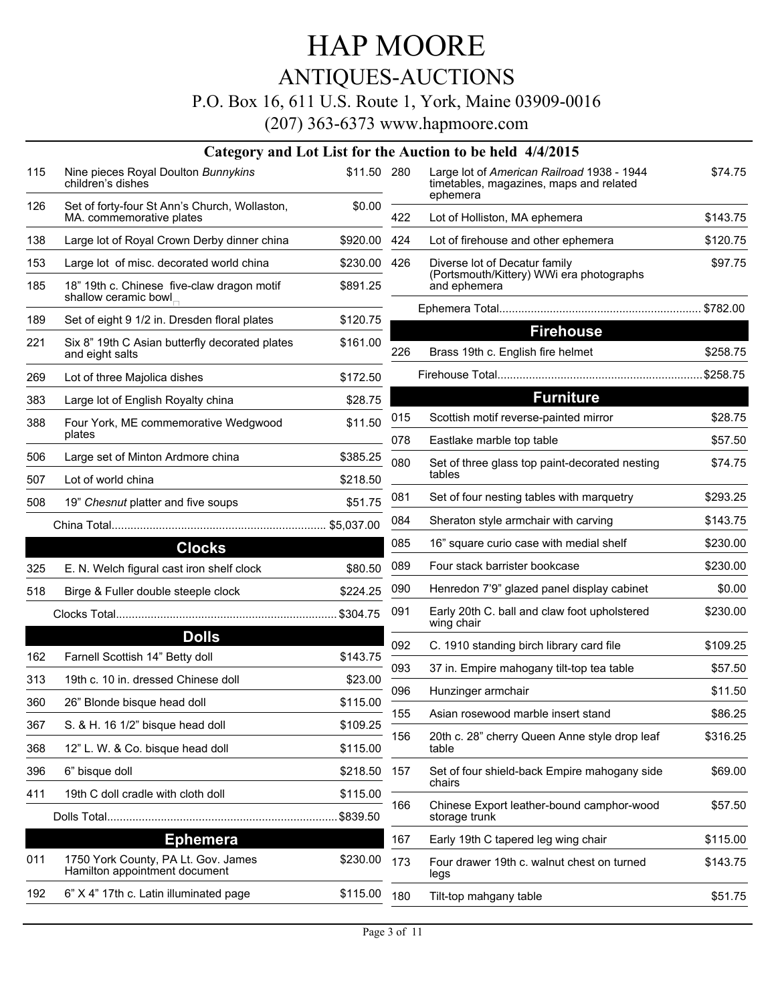### ANTIQUES-AUCTIONS

#### P.O. Box 16, 611 U.S. Route 1, York, Maine 03909-0016

|     |                                                                           |             |     | Category and Lot List for the Auction to be held 4/4/2015                                         |          |
|-----|---------------------------------------------------------------------------|-------------|-----|---------------------------------------------------------------------------------------------------|----------|
| 115 | Nine pieces Royal Doulton Bunnykins<br>children's dishes                  | \$11.50 280 |     | Large lot of American Railroad 1938 - 1944<br>timetables, magazines, maps and related<br>ephemera | \$74.75  |
| 126 | Set of forty-four St Ann's Church, Wollaston,<br>MA. commemorative plates | \$0.00      | 422 | Lot of Holliston, MA ephemera                                                                     | \$143.75 |
| 138 | Large lot of Royal Crown Derby dinner china                               | \$920.00    | 424 | Lot of firehouse and other ephemera                                                               | \$120.75 |
| 153 | Large lot of misc. decorated world china                                  | \$230.00    | 426 | Diverse lot of Decatur family                                                                     | \$97.75  |
| 185 | 18" 19th c. Chinese five-claw dragon motif<br>shallow ceramic bowl        | \$891.25    |     | (Portsmouth/Kittery) WWi era photographs<br>and ephemera                                          |          |
| 189 |                                                                           | \$120.75    |     |                                                                                                   |          |
|     | Set of eight 9 1/2 in. Dresden floral plates                              |             |     | <b>Firehouse</b>                                                                                  |          |
| 221 | Six 8" 19th C Asian butterfly decorated plates<br>and eight salts         | \$161.00    | 226 | Brass 19th c. English fire helmet                                                                 | \$258.75 |
| 269 | Lot of three Majolica dishes                                              | \$172.50    |     |                                                                                                   |          |
| 383 | Large lot of English Royalty china                                        | \$28.75     |     | <b>Furniture</b>                                                                                  |          |
| 388 | Four York, ME commemorative Wedgwood                                      | \$11.50     | 015 | Scottish motif reverse-painted mirror                                                             | \$28.75  |
|     | plates                                                                    |             | 078 | Eastlake marble top table                                                                         | \$57.50  |
| 506 | Large set of Minton Ardmore china                                         | \$385.25    | 080 | Set of three glass top paint-decorated nesting                                                    | \$74.75  |
| 507 | Lot of world china                                                        | \$218.50    |     | tables                                                                                            |          |
| 508 | 19" Chesnut platter and five soups                                        | \$51.75     | 081 | Set of four nesting tables with marquetry                                                         | \$293.25 |
|     |                                                                           |             | 084 | Sheraton style armchair with carving                                                              | \$143.75 |
|     | <b>Clocks</b>                                                             |             | 085 | 16" square curio case with medial shelf                                                           | \$230.00 |
| 325 | E. N. Welch figural cast iron shelf clock                                 | \$80.50     | 089 | Four stack barrister bookcase                                                                     | \$230.00 |
| 518 | Birge & Fuller double steeple clock                                       | \$224.25    | 090 | Henredon 7'9" glazed panel display cabinet                                                        | \$0.00   |
|     |                                                                           |             | 091 | Early 20th C. ball and claw foot upholstered<br>wing chair                                        | \$230.00 |
|     | <b>Dolls</b>                                                              |             | 092 | C. 1910 standing birch library card file                                                          | \$109.25 |
| 162 | Farnell Scottish 14" Betty doll                                           | \$143.75    | 093 | 37 in. Empire mahogany tilt-top tea table                                                         | \$57.50  |
| 313 | 19th c. 10 in. dressed Chinese doll                                       | \$23.00     | 096 | Hunzinger armchair                                                                                | \$11.50  |
| 360 | 26" Blonde bisque head doll                                               | \$115.00    | 155 | Asian rosewood marble insert stand                                                                | \$86.25  |
| 367 | S. & H. 16 1/2" bisque head doll                                          | \$109.25    |     |                                                                                                   | \$316.25 |
| 368 | 12" L. W. & Co. bisque head doll                                          | \$115.00    | 156 | 20th c. 28" cherry Queen Anne style drop leaf<br>table                                            |          |
| 396 | 6" bisque doll                                                            | \$218.50    | 157 | Set of four shield-back Empire mahogany side<br>chairs                                            | \$69.00  |
| 411 | 19th C doll cradle with cloth doll                                        | \$115.00    |     |                                                                                                   |          |
|     |                                                                           | .\$839.50   | 166 | Chinese Export leather-bound camphor-wood<br>storage trunk                                        | \$57.50  |
|     | <b>Ephemera</b>                                                           |             | 167 | Early 19th C tapered leg wing chair                                                               | \$115.00 |
| 011 | 1750 York County, PA Lt. Gov. James<br>Hamilton appointment document      | \$230.00    | 173 | Four drawer 19th c. walnut chest on turned<br>legs                                                | \$143.75 |
| 192 | 6" X 4" 17th c. Latin illuminated page                                    | \$115.00    | 180 | Tilt-top mahgany table                                                                            | \$51.75  |
|     |                                                                           |             |     |                                                                                                   |          |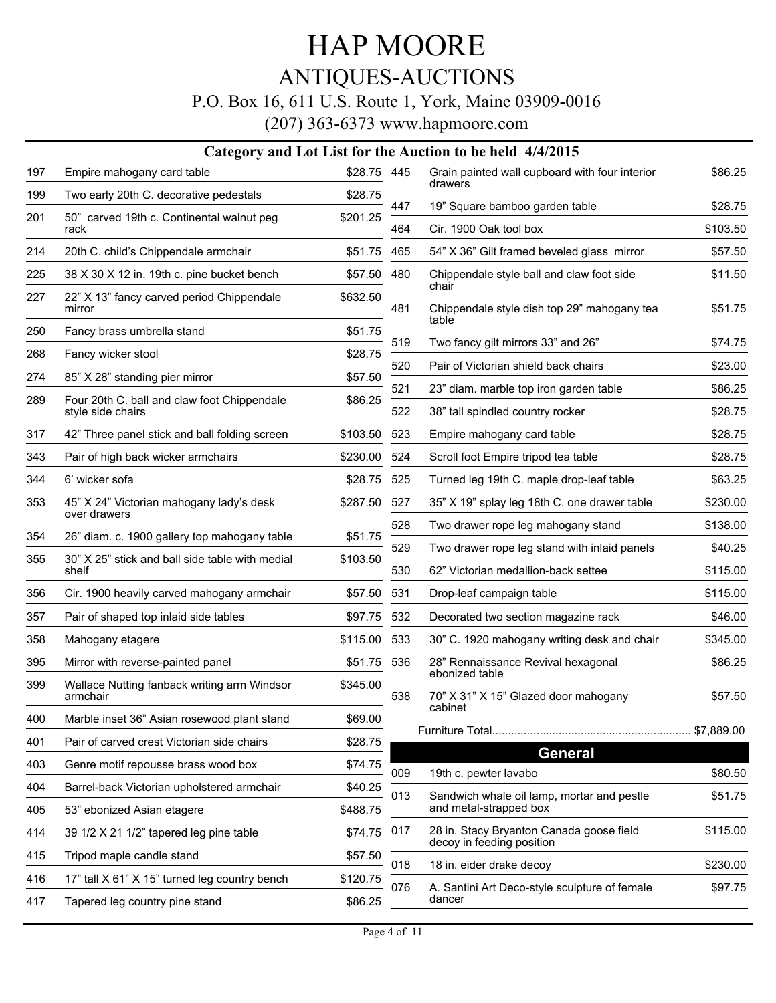# ANTIQUES-AUCTIONS

#### P.O. Box 16, 611 U.S. Route 1, York, Maine 03909-0016

|     |                                                          |             |     | Category and Lot List for the Auction to be held 4/4/2015                 |            |
|-----|----------------------------------------------------------|-------------|-----|---------------------------------------------------------------------------|------------|
| 197 | Empire mahogany card table                               | \$28.75 445 |     | Grain painted wall cupboard with four interior<br>drawers                 | \$86.25    |
| 199 | Two early 20th C. decorative pedestals                   | \$28.75     | 447 | 19" Square bamboo garden table                                            | \$28.75    |
| 201 | 50" carved 19th c. Continental walnut peg<br>rack        | \$201.25    | 464 | Cir. 1900 Oak tool box                                                    | \$103.50   |
| 214 | 20th C. child's Chippendale armchair                     | \$51.75     | 465 | 54" X 36" Gilt framed beveled glass mirror                                | \$57.50    |
| 225 | 38 X 30 X 12 in. 19th c. pine bucket bench               | \$57.50     | 480 | Chippendale style ball and claw foot side                                 | \$11.50    |
| 227 | 22" X 13" fancy carved period Chippendale<br>mirror      | \$632.50    | 481 | chair<br>Chippendale style dish top 29" mahogany tea                      | \$51.75    |
| 250 | Fancy brass umbrella stand                               | \$51.75     |     | table                                                                     |            |
| 268 | Fancy wicker stool                                       | \$28.75     | 519 | Two fancy gilt mirrors 33" and 26"                                        | \$74.75    |
| 274 | 85" X 28" standing pier mirror                           | \$57.50     | 520 | Pair of Victorian shield back chairs                                      | \$23.00    |
| 289 | Four 20th C. ball and claw foot Chippendale              | \$86.25     | 521 | 23" diam. marble top iron garden table                                    | \$86.25    |
|     | style side chairs                                        |             | 522 | 38" tall spindled country rocker                                          | \$28.75    |
| 317 | 42" Three panel stick and ball folding screen            | \$103.50    | 523 | Empire mahogany card table                                                | \$28.75    |
| 343 | Pair of high back wicker armchairs                       | \$230.00    | 524 | Scroll foot Empire tripod tea table                                       | \$28.75    |
| 344 | 6' wicker sofa                                           | \$28.75     | 525 | Turned leg 19th C. maple drop-leaf table                                  | \$63.25    |
| 353 | 45" X 24" Victorian mahogany lady's desk<br>over drawers | \$287.50    | 527 | 35" X 19" splay leg 18th C. one drawer table                              | \$230.00   |
| 354 | 26" diam. c. 1900 gallery top mahogany table             | \$51.75     | 528 | Two drawer rope leg mahogany stand                                        | \$138.00   |
|     |                                                          |             | 529 | Two drawer rope leg stand with inlaid panels                              | \$40.25    |
| 355 | 30" X 25" stick and ball side table with medial<br>shelf | \$103.50    | 530 | 62" Victorian medallion-back settee                                       | \$115.00   |
| 356 | Cir. 1900 heavily carved mahogany armchair               | \$57.50     | 531 | Drop-leaf campaign table                                                  | \$115.00   |
| 357 | Pair of shaped top inlaid side tables                    | \$97.75     | 532 | Decorated two section magazine rack                                       | \$46.00    |
| 358 | Mahogany etagere                                         | \$115.00    | 533 | 30" C. 1920 mahogany writing desk and chair                               | \$345.00   |
| 395 | Mirror with reverse-painted panel                        | \$51.75     | 536 | 28" Rennaissance Revival hexagonal<br>ebonized table                      | \$86.25    |
| 399 | Wallace Nutting fanback writing arm Windsor<br>armchair  | \$345.00    | 538 | 70" X 31" X 15" Glazed door mahogany<br>cabinet                           | \$57.50    |
| 400 | Marble inset 36" Asian rosewood plant stand              | \$69.00     |     |                                                                           | \$7,889.00 |
| 401 | Pair of carved crest Victorian side chairs               | \$28.75     |     | <b>General</b>                                                            |            |
| 403 | Genre motif repousse brass wood box                      | \$74.75     | 009 | 19th c. pewter lavabo                                                     | \$80.50    |
| 404 | Barrel-back Victorian upholstered armchair               | \$40.25     | 013 | Sandwich whale oil lamp, mortar and pestle                                |            |
| 405 | 53" ebonized Asian etagere                               | \$488.75    |     | and metal-strapped box                                                    | \$51.75    |
| 414 | 39 1/2 X 21 1/2" tapered leg pine table                  | \$74.75     | 017 | 28 in. Stacy Bryanton Canada goose field<br>decoy in feeding position     | \$115.00   |
| 415 | Tripod maple candle stand                                | \$57.50     | 018 |                                                                           | \$230.00   |
| 416 | 17" tall X 61" X 15" turned leg country bench            | \$120.75    | 076 | 18 in. eider drake decoy<br>A. Santini Art Deco-style sculpture of female | \$97.75    |
| 417 | Tapered leg country pine stand                           | \$86.25     |     | dancer                                                                    |            |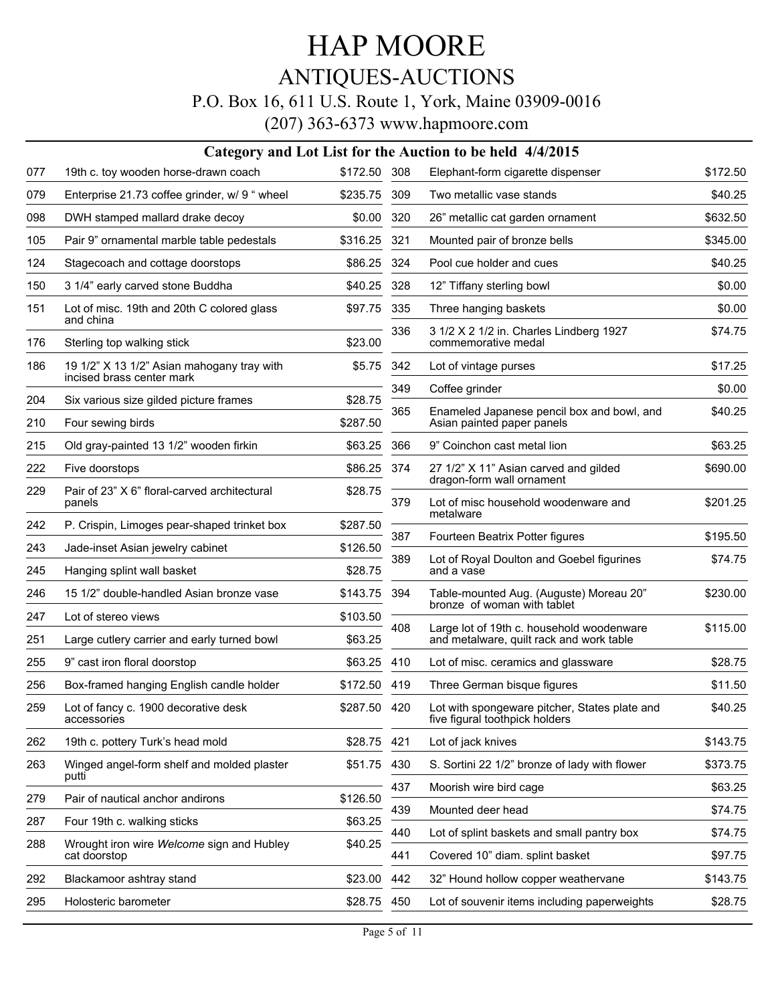## HAP MOORE ANTIQUES-AUCTIONS

#### P.O. Box 16, 611 U.S. Route 1, York, Maine 03909-0016

|     | Category and Lot List for the Auction to be held 4/4/2015               |              |     |                                                                                 |          |  |  |  |
|-----|-------------------------------------------------------------------------|--------------|-----|---------------------------------------------------------------------------------|----------|--|--|--|
| 077 | 19th c. toy wooden horse-drawn coach                                    | \$172.50 308 |     | Elephant-form cigarette dispenser                                               | \$172.50 |  |  |  |
| 079 | Enterprise 21.73 coffee grinder, w/ 9 " wheel                           | \$235.75     | 309 | Two metallic vase stands                                                        | \$40.25  |  |  |  |
| 098 | DWH stamped mallard drake decoy                                         | \$0.00       | 320 | 26" metallic cat garden ornament                                                | \$632.50 |  |  |  |
| 105 | Pair 9" ornamental marble table pedestals                               | \$316.25     | 321 | Mounted pair of bronze bells                                                    | \$345.00 |  |  |  |
| 124 | Stagecoach and cottage doorstops                                        | \$86.25      | 324 | Pool cue holder and cues                                                        | \$40.25  |  |  |  |
| 150 | 3 1/4" early carved stone Buddha                                        | \$40.25      | 328 | 12" Tiffany sterling bowl                                                       | \$0.00   |  |  |  |
| 151 | Lot of misc. 19th and 20th C colored glass<br>and china                 | \$97.75      | 335 | Three hanging baskets                                                           | \$0.00   |  |  |  |
| 176 | Sterling top walking stick                                              | \$23.00      | 336 | 3 1/2 X 2 1/2 in. Charles Lindberg 1927<br>commemorative medal                  | \$74.75  |  |  |  |
| 186 | 19 1/2" X 13 1/2" Asian mahogany tray with<br>incised brass center mark | \$5.75       | 342 | Lot of vintage purses                                                           | \$17.25  |  |  |  |
| 204 | Six various size gilded picture frames                                  | \$28.75      | 349 | Coffee grinder                                                                  | \$0.00   |  |  |  |
| 210 | Four sewing birds                                                       | \$287.50     | 365 | Enameled Japanese pencil box and bowl, and<br>Asian painted paper panels        | \$40.25  |  |  |  |
| 215 | Old gray-painted 13 1/2" wooden firkin                                  | \$63.25      | 366 | 9" Coinchon cast metal lion                                                     | \$63.25  |  |  |  |
| 222 | Five doorstops                                                          | \$86.25      | 374 | 27 1/2" X 11" Asian carved and gilded                                           | \$690.00 |  |  |  |
| 229 | Pair of 23" X 6" floral-carved architectural<br>panels                  | \$28.75      | 379 | dragon-form wall ornament<br>Lot of misc household woodenware and<br>metalware  | \$201.25 |  |  |  |
| 242 | P. Crispin, Limoges pear-shaped trinket box                             | \$287.50     |     |                                                                                 |          |  |  |  |
| 243 | Jade-inset Asian jewelry cabinet                                        | \$126.50     | 387 | Fourteen Beatrix Potter figures                                                 | \$195.50 |  |  |  |
| 245 | Hanging splint wall basket                                              | \$28.75      | 389 | Lot of Royal Doulton and Goebel figurines<br>and a vase                         | \$74.75  |  |  |  |
| 246 | 15 1/2" double-handled Asian bronze vase                                | \$143.75     | 394 | Table-mounted Aug. (Auguste) Moreau 20"<br>bronze of woman with tablet          | \$230.00 |  |  |  |
| 247 | Lot of stereo views                                                     | \$103.50     | 408 | Large lot of 19th c. household woodenware                                       | \$115.00 |  |  |  |
| 251 | Large cutlery carrier and early turned bowl                             | \$63.25      |     | and metalware, quilt rack and work table                                        |          |  |  |  |
| 255 | 9" cast iron floral doorstop                                            | \$63.25      | 410 | Lot of misc. ceramics and glassware                                             | \$28.75  |  |  |  |
| 256 | Box-framed hanging English candle holder                                | \$172.50 419 |     | Three German bisque figures                                                     | \$11.50  |  |  |  |
| 259 | Lot of fancy c. 1900 decorative desk<br>accessories                     | \$287.50 420 |     | Lot with spongeware pitcher, States plate and<br>five figural toothpick holders | \$40.25  |  |  |  |
| 262 | 19th c. pottery Turk's head mold                                        | \$28.75 421  |     | Lot of jack knives                                                              | \$143.75 |  |  |  |
| 263 | Winged angel-form shelf and molded plaster<br>putti                     | \$51.75      | 430 | S. Sortini 22 1/2" bronze of lady with flower                                   | \$373.75 |  |  |  |
| 279 | Pair of nautical anchor andirons                                        | \$126.50     | 437 | Moorish wire bird cage                                                          | \$63.25  |  |  |  |
| 287 | Four 19th c. walking sticks                                             | \$63.25      | 439 | Mounted deer head                                                               | \$74.75  |  |  |  |
| 288 | Wrought iron wire Welcome sign and Hubley                               | \$40.25      | 440 | Lot of splint baskets and small pantry box                                      | \$74.75  |  |  |  |
|     | cat doorstop                                                            |              | 441 | Covered 10" diam. splint basket                                                 | \$97.75  |  |  |  |
| 292 | Blackamoor ashtray stand                                                | \$23.00      | 442 | 32" Hound hollow copper weathervane                                             | \$143.75 |  |  |  |
| 295 | Holosteric barometer                                                    | \$28.75      | 450 | Lot of souvenir items including paperweights                                    | \$28.75  |  |  |  |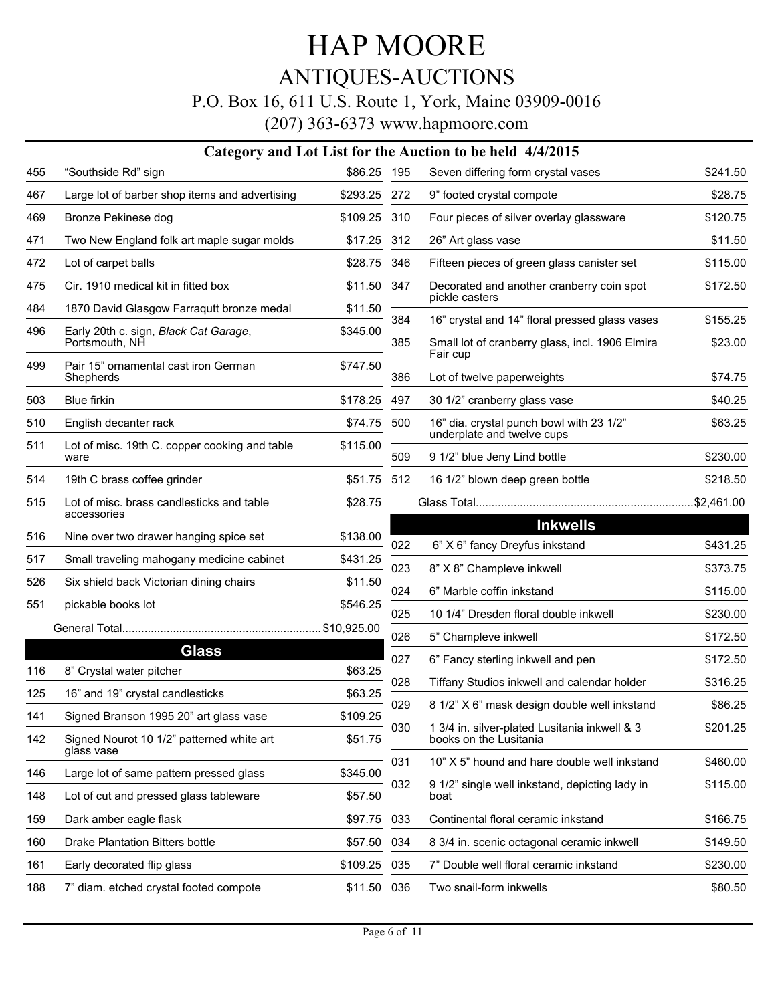### ANTIQUES-AUCTIONS

#### P.O. Box 16, 611 U.S. Route 1, York, Maine 03909-0016

| \$86.25 195<br>"Southside Rd" sign<br>Seven differing form crystal vases<br>455<br>467<br>Large lot of barber shop items and advertising<br>\$293.25 272<br>9" footed crystal compote<br>469<br>Bronze Pekinese dog<br>\$109.25<br>310<br>Four pieces of silver overlay glassware<br>471<br>Two New England folk art maple sugar molds<br>\$17.25 312<br>26" Art glass vase<br>472<br>Lot of carpet balls<br>\$28.75<br>346<br>475<br>Cir. 1910 medical kit in fitted box<br>\$11.50 347<br>pickle casters<br>484<br>1870 David Glasgow Farraqutt bronze medal<br>\$11.50<br>16" crystal and 14" floral pressed glass vases<br>384<br>496<br>Early 20th c. sign, Black Cat Garage,<br>\$345.00<br>Portsmouth, NH<br>385<br>Fair cup<br>Pair 15" ornamental cast iron German<br>499<br>\$747.50<br>Shepherds<br>Lot of twelve paperweights<br>386<br>503<br>Blue firkin<br>\$178.25<br>497<br>30 1/2" cranberry glass vase<br>510<br>16" dia. crystal punch bowl with 23 1/2"<br>English decanter rack<br>\$74.75 500<br>underplate and twelve cups<br>511<br>Lot of misc. 19th C. copper cooking and table<br>\$115.00<br>9 1/2" blue Jeny Lind bottle<br>509<br>ware<br>514<br>19th C brass coffee grinder<br>\$51.75<br>512<br>16 1/2" blown deep green bottle<br>515<br>Lot of misc. brass candlesticks and table<br>\$28.75<br>accessories<br>516<br>Nine over two drawer hanging spice set<br>\$138.00<br>022<br>6" X 6" fancy Dreyfus inkstand<br>517<br>Small traveling mahogany medicine cabinet<br>\$431.25<br>8" X 8" Champleve inkwell<br>023 | \$241.50<br>\$28.75<br>\$120.75<br>\$11.50                             |
|----------------------------------------------------------------------------------------------------------------------------------------------------------------------------------------------------------------------------------------------------------------------------------------------------------------------------------------------------------------------------------------------------------------------------------------------------------------------------------------------------------------------------------------------------------------------------------------------------------------------------------------------------------------------------------------------------------------------------------------------------------------------------------------------------------------------------------------------------------------------------------------------------------------------------------------------------------------------------------------------------------------------------------------------------------------------------------------------------------------------------------------------------------------------------------------------------------------------------------------------------------------------------------------------------------------------------------------------------------------------------------------------------------------------------------------------------------------------------------------------------------------------------------------------------------|------------------------------------------------------------------------|
|                                                                                                                                                                                                                                                                                                                                                                                                                                                                                                                                                                                                                                                                                                                                                                                                                                                                                                                                                                                                                                                                                                                                                                                                                                                                                                                                                                                                                                                                                                                                                          |                                                                        |
|                                                                                                                                                                                                                                                                                                                                                                                                                                                                                                                                                                                                                                                                                                                                                                                                                                                                                                                                                                                                                                                                                                                                                                                                                                                                                                                                                                                                                                                                                                                                                          |                                                                        |
|                                                                                                                                                                                                                                                                                                                                                                                                                                                                                                                                                                                                                                                                                                                                                                                                                                                                                                                                                                                                                                                                                                                                                                                                                                                                                                                                                                                                                                                                                                                                                          |                                                                        |
|                                                                                                                                                                                                                                                                                                                                                                                                                                                                                                                                                                                                                                                                                                                                                                                                                                                                                                                                                                                                                                                                                                                                                                                                                                                                                                                                                                                                                                                                                                                                                          |                                                                        |
|                                                                                                                                                                                                                                                                                                                                                                                                                                                                                                                                                                                                                                                                                                                                                                                                                                                                                                                                                                                                                                                                                                                                                                                                                                                                                                                                                                                                                                                                                                                                                          | Fifteen pieces of green glass canister set<br>\$115.00                 |
|                                                                                                                                                                                                                                                                                                                                                                                                                                                                                                                                                                                                                                                                                                                                                                                                                                                                                                                                                                                                                                                                                                                                                                                                                                                                                                                                                                                                                                                                                                                                                          | Decorated and another cranberry coin spot<br>\$172.50                  |
|                                                                                                                                                                                                                                                                                                                                                                                                                                                                                                                                                                                                                                                                                                                                                                                                                                                                                                                                                                                                                                                                                                                                                                                                                                                                                                                                                                                                                                                                                                                                                          |                                                                        |
|                                                                                                                                                                                                                                                                                                                                                                                                                                                                                                                                                                                                                                                                                                                                                                                                                                                                                                                                                                                                                                                                                                                                                                                                                                                                                                                                                                                                                                                                                                                                                          | \$155.25<br>Small lot of cranberry glass, incl. 1906 Elmira<br>\$23.00 |
|                                                                                                                                                                                                                                                                                                                                                                                                                                                                                                                                                                                                                                                                                                                                                                                                                                                                                                                                                                                                                                                                                                                                                                                                                                                                                                                                                                                                                                                                                                                                                          | \$74.75                                                                |
|                                                                                                                                                                                                                                                                                                                                                                                                                                                                                                                                                                                                                                                                                                                                                                                                                                                                                                                                                                                                                                                                                                                                                                                                                                                                                                                                                                                                                                                                                                                                                          | \$40.25                                                                |
|                                                                                                                                                                                                                                                                                                                                                                                                                                                                                                                                                                                                                                                                                                                                                                                                                                                                                                                                                                                                                                                                                                                                                                                                                                                                                                                                                                                                                                                                                                                                                          | \$63.25                                                                |
|                                                                                                                                                                                                                                                                                                                                                                                                                                                                                                                                                                                                                                                                                                                                                                                                                                                                                                                                                                                                                                                                                                                                                                                                                                                                                                                                                                                                                                                                                                                                                          | \$230.00                                                               |
|                                                                                                                                                                                                                                                                                                                                                                                                                                                                                                                                                                                                                                                                                                                                                                                                                                                                                                                                                                                                                                                                                                                                                                                                                                                                                                                                                                                                                                                                                                                                                          | \$218.50                                                               |
|                                                                                                                                                                                                                                                                                                                                                                                                                                                                                                                                                                                                                                                                                                                                                                                                                                                                                                                                                                                                                                                                                                                                                                                                                                                                                                                                                                                                                                                                                                                                                          |                                                                        |
|                                                                                                                                                                                                                                                                                                                                                                                                                                                                                                                                                                                                                                                                                                                                                                                                                                                                                                                                                                                                                                                                                                                                                                                                                                                                                                                                                                                                                                                                                                                                                          | <b>Inkwells</b>                                                        |
|                                                                                                                                                                                                                                                                                                                                                                                                                                                                                                                                                                                                                                                                                                                                                                                                                                                                                                                                                                                                                                                                                                                                                                                                                                                                                                                                                                                                                                                                                                                                                          | \$431.25                                                               |
|                                                                                                                                                                                                                                                                                                                                                                                                                                                                                                                                                                                                                                                                                                                                                                                                                                                                                                                                                                                                                                                                                                                                                                                                                                                                                                                                                                                                                                                                                                                                                          | \$373.75                                                               |
| 526<br>Six shield back Victorian dining chairs<br>\$11.50<br>024<br>6" Marble coffin inkstand                                                                                                                                                                                                                                                                                                                                                                                                                                                                                                                                                                                                                                                                                                                                                                                                                                                                                                                                                                                                                                                                                                                                                                                                                                                                                                                                                                                                                                                            | \$115.00                                                               |
| 551<br>pickable books lot<br>\$546.25<br>025<br>10 1/4" Dresden floral double inkwell                                                                                                                                                                                                                                                                                                                                                                                                                                                                                                                                                                                                                                                                                                                                                                                                                                                                                                                                                                                                                                                                                                                                                                                                                                                                                                                                                                                                                                                                    | \$230.00                                                               |
| 026<br>5" Champleve inkwell                                                                                                                                                                                                                                                                                                                                                                                                                                                                                                                                                                                                                                                                                                                                                                                                                                                                                                                                                                                                                                                                                                                                                                                                                                                                                                                                                                                                                                                                                                                              | \$172.50                                                               |
| <b>Glass</b><br>027<br>6" Fancy sterling inkwell and pen                                                                                                                                                                                                                                                                                                                                                                                                                                                                                                                                                                                                                                                                                                                                                                                                                                                                                                                                                                                                                                                                                                                                                                                                                                                                                                                                                                                                                                                                                                 | \$172.50                                                               |
| 116<br>8" Crystal water pitcher<br>\$63.25<br>028                                                                                                                                                                                                                                                                                                                                                                                                                                                                                                                                                                                                                                                                                                                                                                                                                                                                                                                                                                                                                                                                                                                                                                                                                                                                                                                                                                                                                                                                                                        | Tiffany Studios inkwell and calendar holder<br>\$316.25                |
| 125<br>16" and 19" crystal candlesticks<br>\$63.25<br>029                                                                                                                                                                                                                                                                                                                                                                                                                                                                                                                                                                                                                                                                                                                                                                                                                                                                                                                                                                                                                                                                                                                                                                                                                                                                                                                                                                                                                                                                                                | \$86.25<br>8 1/2" X 6" mask design double well inkstand                |
| Signed Branson 1995 20" art glass vase<br>\$109.25<br>141<br>030<br>142<br>Signed Nourot 10 1/2" patterned white art<br>\$51.75<br>books on the Lusitania                                                                                                                                                                                                                                                                                                                                                                                                                                                                                                                                                                                                                                                                                                                                                                                                                                                                                                                                                                                                                                                                                                                                                                                                                                                                                                                                                                                                | \$201.25<br>1 3/4 in. silver-plated Lusitania inkwell & 3              |
| glass vase<br>031                                                                                                                                                                                                                                                                                                                                                                                                                                                                                                                                                                                                                                                                                                                                                                                                                                                                                                                                                                                                                                                                                                                                                                                                                                                                                                                                                                                                                                                                                                                                        | 10" X 5" hound and hare double well inkstand<br>\$460.00               |
| Large lot of same pattern pressed glass<br>\$345.00<br>146<br>032                                                                                                                                                                                                                                                                                                                                                                                                                                                                                                                                                                                                                                                                                                                                                                                                                                                                                                                                                                                                                                                                                                                                                                                                                                                                                                                                                                                                                                                                                        | 9 1/2" single well inkstand, depicting lady in<br>\$115.00             |
| Lot of cut and pressed glass tableware<br>\$57.50<br>148<br>boat                                                                                                                                                                                                                                                                                                                                                                                                                                                                                                                                                                                                                                                                                                                                                                                                                                                                                                                                                                                                                                                                                                                                                                                                                                                                                                                                                                                                                                                                                         |                                                                        |
| 159<br>Dark amber eagle flask<br>\$97.75<br>033<br>Continental floral ceramic inkstand                                                                                                                                                                                                                                                                                                                                                                                                                                                                                                                                                                                                                                                                                                                                                                                                                                                                                                                                                                                                                                                                                                                                                                                                                                                                                                                                                                                                                                                                   | \$166.75                                                               |
| 160<br>Drake Plantation Bitters bottle<br>\$57.50<br>034                                                                                                                                                                                                                                                                                                                                                                                                                                                                                                                                                                                                                                                                                                                                                                                                                                                                                                                                                                                                                                                                                                                                                                                                                                                                                                                                                                                                                                                                                                 | 8 3/4 in. scenic octagonal ceramic inkwell<br>\$149.50                 |
| 7" Double well floral ceramic inkstand<br>Early decorated flip glass<br>\$109.25<br>035<br>161                                                                                                                                                                                                                                                                                                                                                                                                                                                                                                                                                                                                                                                                                                                                                                                                                                                                                                                                                                                                                                                                                                                                                                                                                                                                                                                                                                                                                                                           |                                                                        |
| Two snail-form inkwells<br>188<br>7" diam. etched crystal footed compote<br>\$11.50 036                                                                                                                                                                                                                                                                                                                                                                                                                                                                                                                                                                                                                                                                                                                                                                                                                                                                                                                                                                                                                                                                                                                                                                                                                                                                                                                                                                                                                                                                  | \$230.00                                                               |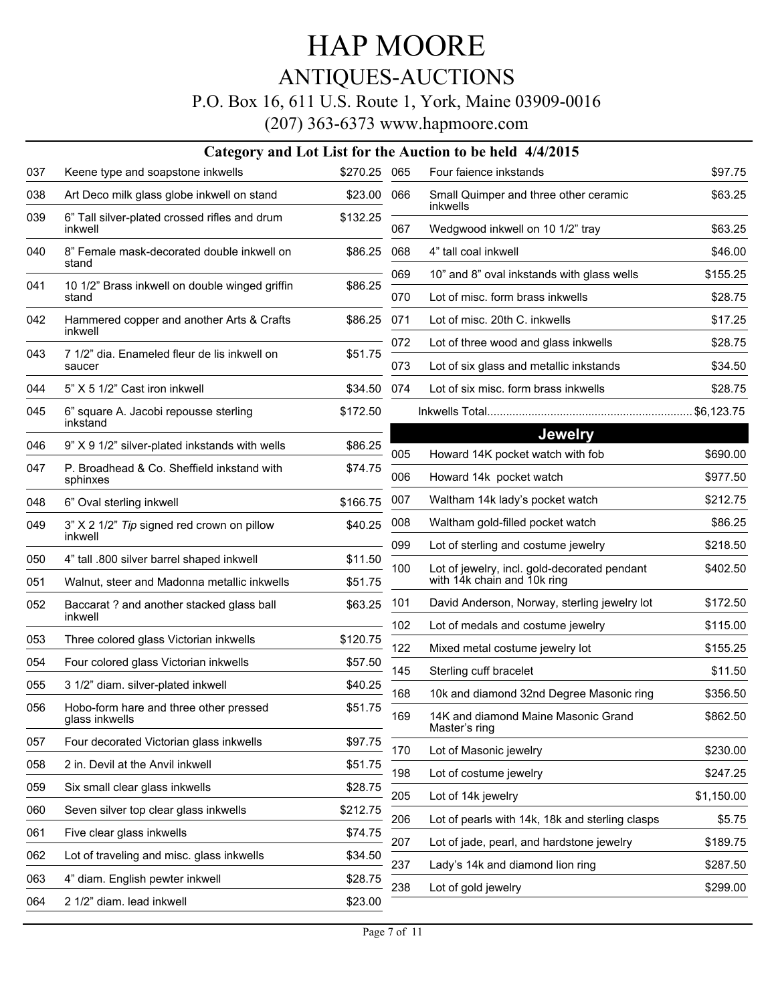### HAP MOORE ANTIQUES-AUCTIONS P.O. Box 16, 611 U.S. Route 1, York, Maine 03909-0016

|     |                                                          |              |            | Category and Lot List for the Auction to be held 4/4/2015                         |                      |
|-----|----------------------------------------------------------|--------------|------------|-----------------------------------------------------------------------------------|----------------------|
| 037 | Keene type and soapstone inkwells                        | \$270.25 065 |            | Four faience inkstands                                                            | \$97.75              |
| 038 | Art Deco milk glass globe inkwell on stand               | \$23.00      | 066        | Small Quimper and three other ceramic<br>inkwells                                 | \$63.25              |
| 039 | 6" Tall silver-plated crossed rifles and drum<br>inkwell | \$132.25     | 067        | Wedgwood inkwell on 10 1/2" tray                                                  | \$63.25              |
| 040 | 8" Female mask-decorated double inkwell on               | \$86.25      | 068        | 4" tall coal inkwell                                                              | \$46.00              |
|     | stand                                                    |              | 069        | 10" and 8" oval inkstands with glass wells                                        | \$155.25             |
| 041 | 10 1/2" Brass inkwell on double winged griffin<br>stand  | \$86.25      | 070        | Lot of misc. form brass inkwells                                                  | \$28.75              |
| 042 | Hammered copper and another Arts & Crafts<br>inkwell     | \$86.25      | 071        | Lot of misc. 20th C. inkwells                                                     | \$17.25              |
| 043 | 7 1/2" dia. Enameled fleur de lis inkwell on             | \$51.75      | 072        | Lot of three wood and glass inkwells                                              | \$28.75              |
|     | saucer                                                   |              | 073        | Lot of six glass and metallic inkstands                                           | \$34.50              |
| 044 | 5" X 5 1/2" Cast iron inkwell                            | \$34.50      | 074        | Lot of six misc. form brass inkwells                                              | \$28.75              |
| 045 | 6" square A. Jacobi repousse sterling<br>inkstand        | \$172.50     |            |                                                                                   |                      |
|     |                                                          |              |            | <b>Jewelry</b>                                                                    |                      |
| 046 | 9" X 9 1/2" silver-plated inkstands with wells           | \$86.25      | 005        | Howard 14K pocket watch with fob                                                  | \$690.00             |
| 047 | P. Broadhead & Co. Sheffield inkstand with<br>sphinxes   | \$74.75      | 006        | Howard 14k pocket watch                                                           | \$977.50             |
| 048 | 6" Oval sterling inkwell                                 | \$166.75     | 007        | Waltham 14k lady's pocket watch                                                   | \$212.75             |
| 049 | 3" X 2 1/2" Tip signed red crown on pillow               | \$40.25      | 008        | Waltham gold-filled pocket watch                                                  | \$86.25              |
|     | inkwell                                                  |              | 099        | Lot of sterling and costume jewelry                                               | \$218.50             |
| 050 | 4" tall .800 silver barrel shaped inkwell                | \$11.50      | 100        | Lot of jewelry, incl. gold-decorated pendant<br>with 14k chain and 10k ring       | \$402.50             |
| 051 | Walnut, steer and Madonna metallic inkwells              | \$51.75      |            |                                                                                   |                      |
| 052 | Baccarat ? and another stacked glass ball<br>inkwell     | \$63.25      | 101<br>102 | David Anderson, Norway, sterling jewelry lot<br>Lot of medals and costume jewelry | \$172.50<br>\$115.00 |
| 053 | Three colored glass Victorian inkwells                   | \$120.75     | 122        |                                                                                   |                      |
| 054 | Four colored glass Victorian inkwells                    | \$57.50      |            | Mixed metal costume jewelry lot                                                   | \$155.25             |
| 055 | 3 1/2" diam. silver-plated inkwell                       | \$40.25      | 145        | Sterling cuff bracelet                                                            | \$11.50              |
| 056 | Hobo-form hare and three other pressed                   | \$51.75      | 168<br>169 | 10k and diamond 32nd Degree Masonic ring<br>14K and diamond Maine Masonic Grand   | \$356.50<br>\$862.50 |
|     | glass inkwells                                           |              |            | Master's ring                                                                     |                      |
| 057 | Four decorated Victorian glass inkwells                  | \$97.75      | 170        | Lot of Masonic jewelry                                                            | \$230.00             |
| 058 | 2 in. Devil at the Anvil inkwell                         | \$51.75      | 198        | Lot of costume jewelry                                                            | \$247.25             |
| 059 | Six small clear glass inkwells                           | \$28.75      | 205        | Lot of 14k jewelry                                                                | \$1,150.00           |
| 060 | Seven silver top clear glass inkwells                    | \$212.75     | 206        | Lot of pearls with 14k, 18k and sterling clasps                                   | \$5.75               |
| 061 | Five clear glass inkwells                                | \$74.75      | 207        | Lot of jade, pearl, and hardstone jewelry                                         | \$189.75             |
| 062 | Lot of traveling and misc. glass inkwells                | \$34.50      | 237        | Lady's 14k and diamond lion ring                                                  | \$287.50             |
| 063 | 4" diam. English pewter inkwell                          | \$28.75      | 238        | Lot of gold jewelry                                                               | \$299.00             |
| 064 | 2 1/2" diam. lead inkwell                                | \$23.00      |            |                                                                                   |                      |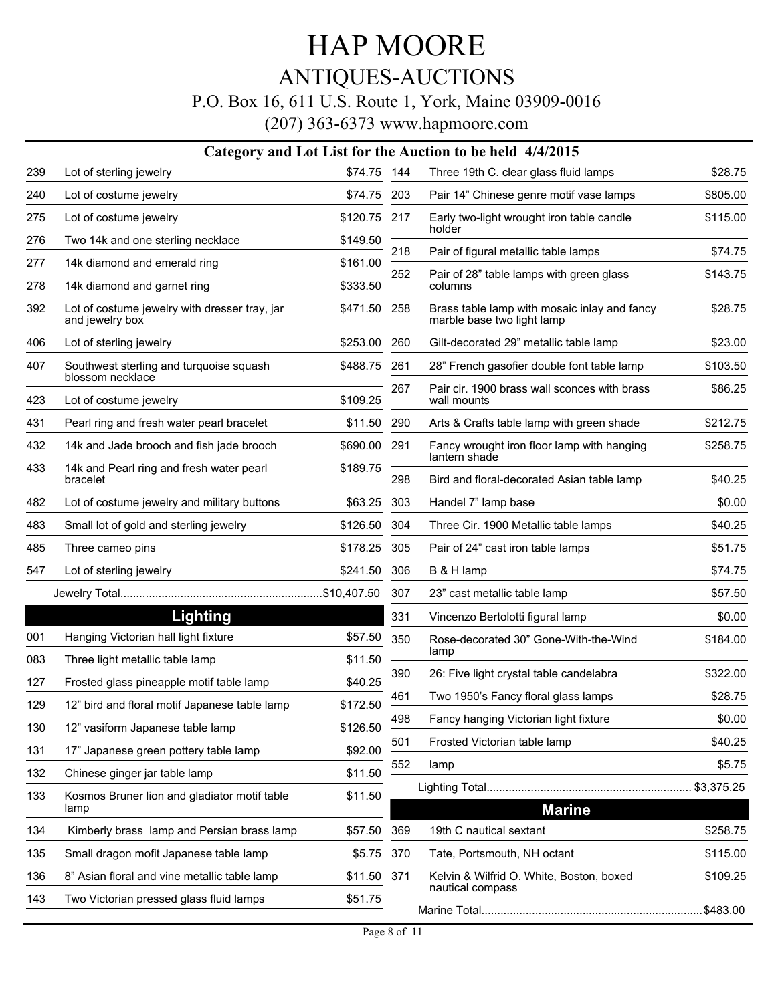#### ANTIQUES-AUCTIONS

#### P.O. Box 16, 611 U.S. Route 1, York, Maine 03909-0016

|     |                                                                  |              |     | Category and Lot List for the Auction to be held 4/4/2015                  |          |
|-----|------------------------------------------------------------------|--------------|-----|----------------------------------------------------------------------------|----------|
| 239 | Lot of sterling jewelry                                          | \$74.75 144  |     | Three 19th C. clear glass fluid lamps                                      | \$28.75  |
| 240 | Lot of costume jewelry                                           | \$74.75      | 203 | Pair 14" Chinese genre motif vase lamps                                    | \$805.00 |
| 275 | Lot of costume jewelry                                           | \$120.75 217 |     | Early two-light wrought iron table candle<br>holder                        | \$115.00 |
| 276 | Two 14k and one sterling necklace                                | \$149.50     |     |                                                                            |          |
| 277 | 14k diamond and emerald ring                                     | \$161.00     | 218 | Pair of figural metallic table lamps                                       | \$74.75  |
| 278 | 14k diamond and garnet ring                                      | \$333.50     | 252 | Pair of 28" table lamps with green glass<br>columns                        | \$143.75 |
| 392 | Lot of costume jewelry with dresser tray, jar<br>and jewelry box | \$471.50 258 |     | Brass table lamp with mosaic inlay and fancy<br>marble base two light lamp | \$28.75  |
| 406 | Lot of sterling jewelry                                          | \$253.00 260 |     | Gilt-decorated 29" metallic table lamp                                     | \$23.00  |
| 407 | Southwest sterling and turquoise squash<br>blossom necklace      | \$488.75     | 261 | 28" French gasofier double font table lamp                                 | \$103.50 |
| 423 | Lot of costume jewelry                                           | \$109.25     | 267 | Pair cir. 1900 brass wall sconces with brass<br>wall mounts                | \$86.25  |
| 431 | Pearl ring and fresh water pearl bracelet                        | \$11.50 290  |     | Arts & Crafts table lamp with green shade                                  | \$212.75 |
| 432 | 14k and Jade brooch and fish jade brooch                         | \$690.00 291 |     | Fancy wrought iron floor lamp with hanging                                 | \$258.75 |
| 433 | 14k and Pearl ring and fresh water pearl<br>bracelet             | \$189.75     | 298 | lantern shade<br>Bird and floral-decorated Asian table lamp                | \$40.25  |
| 482 | Lot of costume jewelry and military buttons                      | \$63.25      | 303 | Handel 7" lamp base                                                        | \$0.00   |
| 483 | Small lot of gold and sterling jewelry                           | \$126.50     | 304 | Three Cir. 1900 Metallic table lamps                                       | \$40.25  |
| 485 | Three cameo pins                                                 | \$178.25     | 305 | Pair of 24" cast iron table lamps                                          | \$51.75  |
| 547 | Lot of sterling jewelry                                          | \$241.50     | 306 | B & H lamp                                                                 | \$74.75  |
|     |                                                                  |              | 307 | 23" cast metallic table lamp                                               | \$57.50  |
|     | Lighting                                                         |              | 331 | Vincenzo Bertolotti figural lamp                                           | \$0.00   |
| 001 | Hanging Victorian hall light fixture                             | \$57.50      | 350 | Rose-decorated 30" Gone-With-the-Wind                                      | \$184.00 |
| 083 | Three light metallic table lamp                                  | \$11.50      |     | lamp                                                                       |          |
| 127 | Frosted glass pineapple motif table lamp                         | \$40.25      | 390 | 26: Five light crystal table candelabra                                    | \$322.00 |
| 129 | 12" bird and floral motif Japanese table lamp                    | \$172.50     | 461 | Two 1950's Fancy floral glass lamps                                        | \$28.75  |
| 130 | 12" vasiform Japanese table lamp                                 | \$126.50     | 498 | Fancy hanging Victorian light fixture                                      | \$0.00   |
| 131 | 17" Japanese green pottery table lamp                            | \$92.00      | 501 | Frosted Victorian table lamp                                               | \$40.25  |
| 132 | Chinese ginger jar table lamp                                    | \$11.50      | 552 | lamp                                                                       | \$5.75   |
| 133 | Kosmos Bruner lion and gladiator motif table<br>lamp             | \$11.50      |     | <b>Marine</b>                                                              |          |
| 134 | Kimberly brass lamp and Persian brass lamp                       | \$57.50      | 369 | 19th C nautical sextant                                                    | \$258.75 |
| 135 | Small dragon mofit Japanese table lamp                           | \$5.75       | 370 | Tate, Portsmouth, NH octant                                                | \$115.00 |
| 136 | 8" Asian floral and vine metallic table lamp                     | \$11.50 371  |     | Kelvin & Wilfrid O. White, Boston, boxed<br>nautical compass               | \$109.25 |
| 143 | Two Victorian pressed glass fluid lamps                          | \$51.75      |     |                                                                            |          |
|     |                                                                  |              |     |                                                                            |          |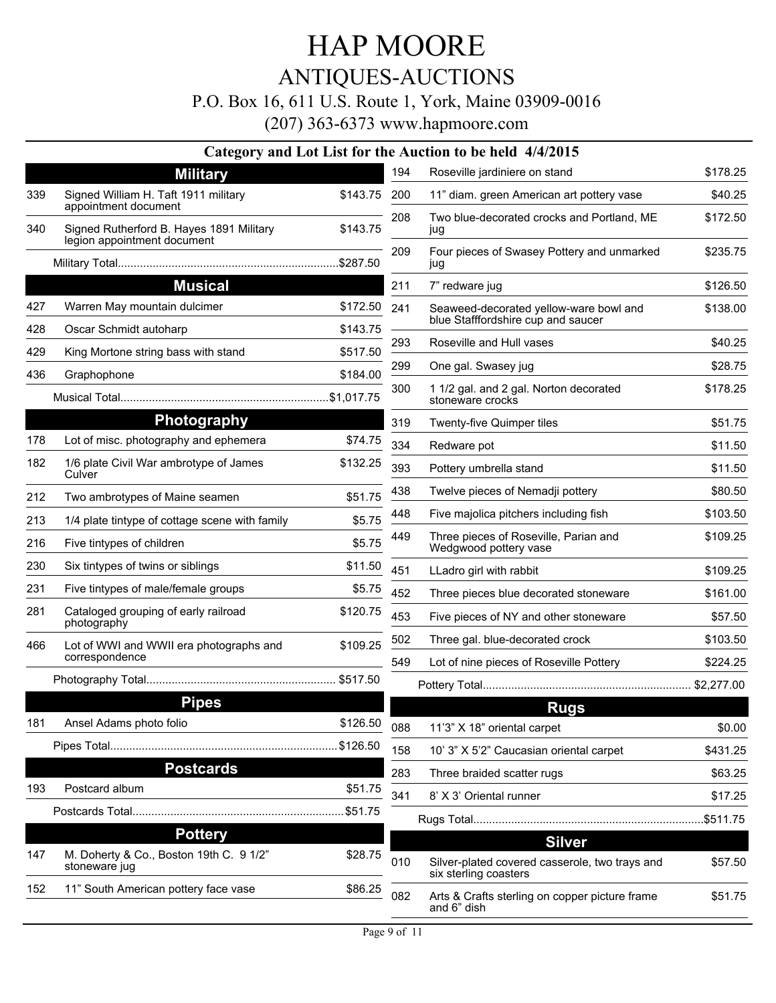### ANTIQUES-AUCTIONS

#### P.O. Box 16, 611 U.S. Route 1, York, Maine 03909-0016

|     |                                                                         |          |     | Category and Lot List for the Auction to be held 4/4/2015               |          |
|-----|-------------------------------------------------------------------------|----------|-----|-------------------------------------------------------------------------|----------|
|     | <b>Military</b>                                                         |          | 194 | Roseville jardiniere on stand                                           | \$178.25 |
| 339 | Signed William H. Taft 1911 military<br>appointment document            | \$143.75 | 200 | 11" diam. green American art pottery vase                               | \$40.25  |
| 340 | Signed Rutherford B. Hayes 1891 Military<br>legion appointment document | \$143.75 | 208 | Two blue-decorated crocks and Portland, ME<br>jug                       | \$172.50 |
|     |                                                                         |          | 209 | Four pieces of Swasey Pottery and unmarked<br>jug                       | \$235.75 |
|     | <b>Musical</b>                                                          |          | 211 | 7" redware jug                                                          | \$126.50 |
| 427 | Warren May mountain dulcimer                                            | \$172.50 | 241 | Seaweed-decorated yellow-ware bowl and                                  | \$138.00 |
| 428 | Oscar Schmidt autoharp                                                  | \$143.75 |     | blue Stafffordshire cup and saucer                                      |          |
| 429 | King Mortone string bass with stand                                     | \$517.50 | 293 | Roseville and Hull vases                                                | \$40.25  |
| 436 | Graphophone                                                             | \$184.00 | 299 | One gal. Swasey jug                                                     | \$28.75  |
|     |                                                                         |          | 300 | 1 1/2 gal. and 2 gal. Norton decorated<br>stoneware crocks              | \$178.25 |
|     | <b>Photography</b>                                                      |          | 319 | Twenty-five Quimper tiles                                               | \$51.75  |
| 178 | Lot of misc. photography and ephemera                                   | \$74.75  | 334 | Redware pot                                                             | \$11.50  |
| 182 | 1/6 plate Civil War ambrotype of James<br>Culver                        | \$132.25 | 393 | Pottery umbrella stand                                                  | \$11.50  |
| 212 | Two ambrotypes of Maine seamen                                          | \$51.75  | 438 | Twelve pieces of Nemadji pottery                                        | \$80.50  |
| 213 | 1/4 plate tintype of cottage scene with family                          | \$5.75   | 448 | Five majolica pitchers including fish                                   | \$103.50 |
| 216 | Five tintypes of children                                               | \$5.75   | 449 | Three pieces of Roseville, Parian and<br>Wedgwood pottery vase          | \$109.25 |
| 230 | Six tintypes of twins or siblings                                       | \$11.50  | 451 | LLadro girl with rabbit                                                 | \$109.25 |
| 231 | Five tintypes of male/female groups                                     | \$5.75   | 452 | Three pieces blue decorated stoneware                                   | \$161.00 |
| 281 | Cataloged grouping of early railroad<br>photography                     | \$120.75 | 453 | Five pieces of NY and other stoneware                                   | \$57.50  |
| 466 | Lot of WWI and WWII era photographs and                                 | \$109.25 | 502 | Three gal. blue-decorated crock                                         | \$103.50 |
|     | correspondence                                                          |          | 549 | Lot of nine pieces of Roseville Pottery                                 | \$224.25 |
|     |                                                                         |          |     |                                                                         |          |
|     | <b>Pipes</b>                                                            |          |     | <b>Rugs</b>                                                             |          |
| 181 | Ansel Adams photo folio                                                 | \$126.50 | 088 | 11'3" X 18" oriental carpet                                             | \$0.00   |
|     |                                                                         |          | 158 | 10' 3" X 5'2" Caucasian oriental carpet                                 | \$431.25 |
|     | <b>Postcards</b>                                                        |          | 283 | Three braided scatter rugs                                              | \$63.25  |
| 193 | Postcard album                                                          | \$51.75  | 341 | 8' X 3' Oriental runner                                                 | \$17.25  |
|     |                                                                         |          |     |                                                                         |          |
|     | <b>Pottery</b>                                                          |          |     | <b>Silver</b>                                                           |          |
| 147 | M. Doherty & Co., Boston 19th C. 9 1/2"<br>stoneware jug                | \$28.75  | 010 | Silver-plated covered casserole, two trays and<br>six sterling coasters | \$57.50  |
| 152 | 11" South American pottery face vase                                    | \$86.25  | 082 | Arts & Crafts sterling on copper picture frame<br>and 6" dish           | \$51.75  |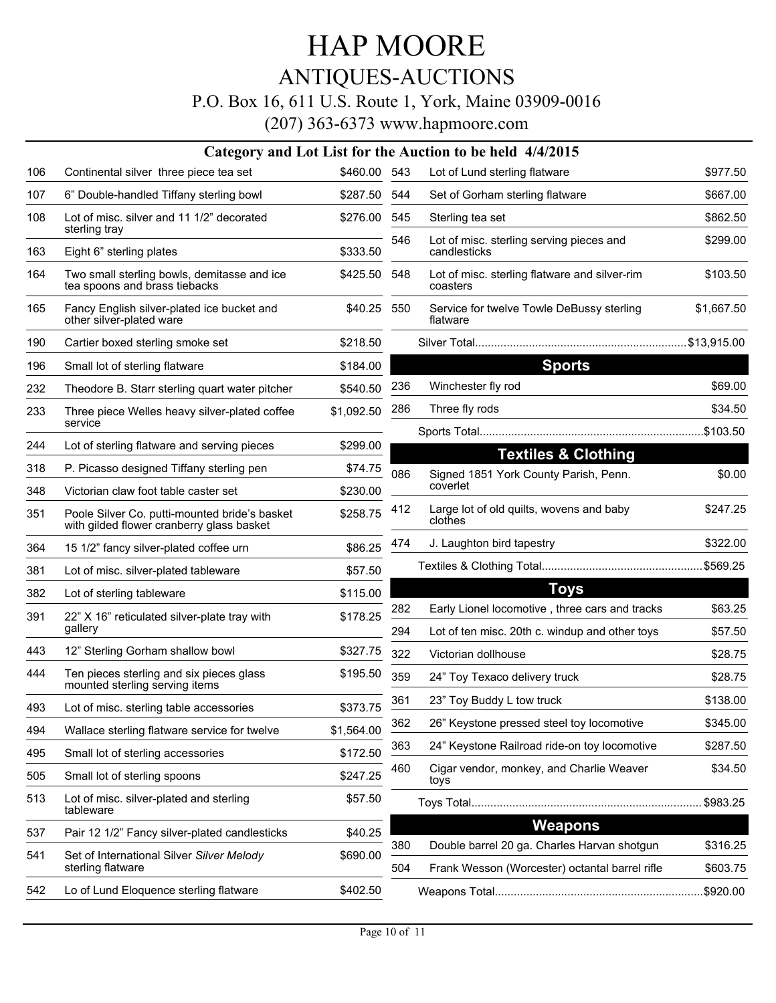### ANTIQUES-AUCTIONS

#### P.O. Box 16, 611 U.S. Route 1, York, Maine 03909-0016

|     | Category and Lot List for the Auction to be held 4/4/2015                                  |              |     |                                                           |            |  |  |  |
|-----|--------------------------------------------------------------------------------------------|--------------|-----|-----------------------------------------------------------|------------|--|--|--|
| 106 | Continental silver three piece tea set                                                     | \$460.00 543 |     | Lot of Lund sterling flatware                             | \$977.50   |  |  |  |
| 107 | 6" Double-handled Tiffany sterling bowl                                                    | \$287.50 544 |     | Set of Gorham sterling flatware                           | \$667.00   |  |  |  |
| 108 | Lot of misc. silver and 11 1/2" decorated<br>sterling tray                                 | \$276.00     | 545 | Sterling tea set                                          | \$862.50   |  |  |  |
| 163 | Eight 6" sterling plates                                                                   | \$333.50     | 546 | Lot of misc. sterling serving pieces and<br>candlesticks  | \$299.00   |  |  |  |
| 164 | Two small sterling bowls, demitasse and ice<br>tea spoons and brass tiebacks               | \$425.50     | 548 | Lot of misc. sterling flatware and silver-rim<br>coasters | \$103.50   |  |  |  |
| 165 | Fancy English silver-plated ice bucket and<br>other silver-plated ware                     | \$40.25 550  |     | Service for twelve Towle DeBussy sterling<br>flatware     | \$1,667.50 |  |  |  |
| 190 | Cartier boxed sterling smoke set                                                           | \$218.50     |     |                                                           |            |  |  |  |
| 196 | Small lot of sterling flatware                                                             | \$184.00     |     | <b>Sports</b>                                             |            |  |  |  |
| 232 | Theodore B. Starr sterling quart water pitcher                                             | \$540.50     | 236 | Winchester fly rod                                        | \$69.00    |  |  |  |
| 233 | Three piece Welles heavy silver-plated coffee                                              | \$1,092.50   | 286 | Three fly rods                                            | \$34.50    |  |  |  |
|     | service                                                                                    |              |     |                                                           |            |  |  |  |
| 244 | Lot of sterling flatware and serving pieces                                                | \$299.00     |     | <b>Textiles &amp; Clothing</b>                            |            |  |  |  |
| 318 | P. Picasso designed Tiffany sterling pen                                                   | \$74.75      | 086 | Signed 1851 York County Parish, Penn.                     | \$0.00     |  |  |  |
| 348 | Victorian claw foot table caster set                                                       | \$230.00     |     | coverlet                                                  |            |  |  |  |
| 351 | Poole Silver Co. putti-mounted bride's basket<br>with gilded flower cranberry glass basket | \$258.75     | 412 | Large lot of old quilts, wovens and baby<br>clothes       | \$247.25   |  |  |  |
| 364 | 15 1/2" fancy silver-plated coffee urn                                                     | \$86.25      | 474 | J. Laughton bird tapestry                                 | \$322.00   |  |  |  |
| 381 | Lot of misc. silver-plated tableware                                                       | \$57.50      |     |                                                           |            |  |  |  |
| 382 | Lot of sterling tableware                                                                  | \$115.00     |     | <b>Toys</b>                                               |            |  |  |  |
| 391 | 22" X 16" reticulated silver-plate tray with                                               | \$178.25     | 282 | Early Lionel locomotive, three cars and tracks            | \$63.25    |  |  |  |
|     | gallery                                                                                    |              | 294 | Lot of ten misc. 20th c. windup and other toys            | \$57.50    |  |  |  |
| 443 | 12" Sterling Gorham shallow bowl                                                           | \$327.75     | 322 | Victorian dollhouse                                       | \$28.75    |  |  |  |
| 444 | Ten pieces sterling and six pieces glass<br>mounted sterling serving items                 | \$195.50     | 359 | 24" Toy Texaco delivery truck                             | \$28.75    |  |  |  |
| 493 | Lot of misc. sterling table accessories                                                    | \$373.75     | 361 | 23" Toy Buddy L tow truck                                 | \$138.00   |  |  |  |
| 494 | Wallace sterling flatware service for twelve                                               | \$1,564.00   | 362 | 26" Keystone pressed steel toy locomotive                 | \$345.00   |  |  |  |
| 495 | Small lot of sterling accessories                                                          | \$172.50     | 363 | 24" Keystone Railroad ride-on toy locomotive              | \$287.50   |  |  |  |
| 505 | Small lot of sterling spoons                                                               | \$247.25     | 460 | Cigar vendor, monkey, and Charlie Weaver<br>toys          | \$34.50    |  |  |  |
| 513 | Lot of misc. silver-plated and sterling<br>tableware                                       | \$57.50      |     |                                                           | \$983.25   |  |  |  |
| 537 | Pair 12 1/2" Fancy silver-plated candlesticks                                              | \$40.25      |     | <b>Weapons</b>                                            |            |  |  |  |
| 541 | Set of International Silver Silver Melody                                                  | \$690.00     | 380 | Double barrel 20 ga. Charles Harvan shotgun               | \$316.25   |  |  |  |
|     | sterling flatware                                                                          |              | 504 | Frank Wesson (Worcester) octantal barrel rifle            | \$603.75   |  |  |  |
| 542 | Lo of Lund Eloquence sterling flatware                                                     | \$402.50     |     |                                                           | .\$920.00  |  |  |  |